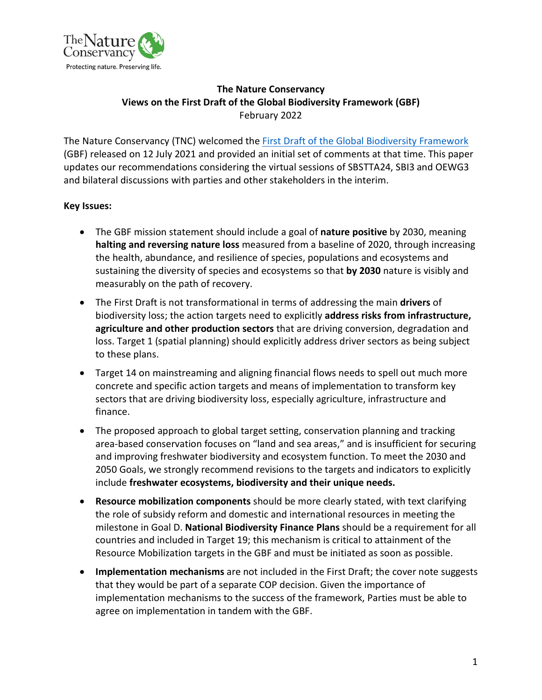

# **The Nature Conservancy Views on the First Draft of the Global Biodiversity Framework (GBF)** February 2022

The Nature Conservancy (TNC) welcomed the [First Draft of the Global Biodiversity Framework](https://www.cbd.int/article/draft-1-global-biodiversity-framework) (GBF) released on 12 July 2021 and provided an initial set of comments at that time. This paper updates our recommendations considering the virtual sessions of SBSTTA24, SBI3 and OEWG3 and bilateral discussions with parties and other stakeholders in the interim.

# **Key Issues:**

- The GBF mission statement should include a goal of **nature positive** by 2030, meaning **halting and reversing nature loss** measured from a baseline of 2020, through increasing the health, abundance, and resilience of species, populations and ecosystems and sustaining the diversity of species and ecosystems so that **by 2030** nature is visibly and measurably on the path of recovery.
- The First Draft is not transformational in terms of addressing the main **drivers** of biodiversity loss; the action targets need to explicitly **address risks from infrastructure, agriculture and other production sectors** that are driving conversion, degradation and loss. Target 1 (spatial planning) should explicitly address driver sectors as being subject to these plans.
- Target 14 on mainstreaming and aligning financial flows needs to spell out much more concrete and specific action targets and means of implementation to transform key sectors that are driving biodiversity loss, especially agriculture, infrastructure and finance.
- The proposed approach to global target setting, conservation planning and tracking area-based conservation focuses on "land and sea areas," and is insufficient for securing and improving freshwater biodiversity and ecosystem function. To meet the 2030 and 2050 Goals, we strongly recommend revisions to the targets and indicators to explicitly include **freshwater ecosystems, biodiversity and their unique needs.**
- **Resource mobilization components** should be more clearly stated, with text clarifying the role of subsidy reform and domestic and international resources in meeting the milestone in Goal D. **National Biodiversity Finance Plans** should be a requirement for all countries and included in Target 19; this mechanism is critical to attainment of the Resource Mobilization targets in the GBF and must be initiated as soon as possible.
- **Implementation mechanisms** are not included in the First Draft; the cover note suggests that they would be part of a separate COP decision. Given the importance of implementation mechanisms to the success of the framework, Parties must be able to agree on implementation in tandem with the GBF.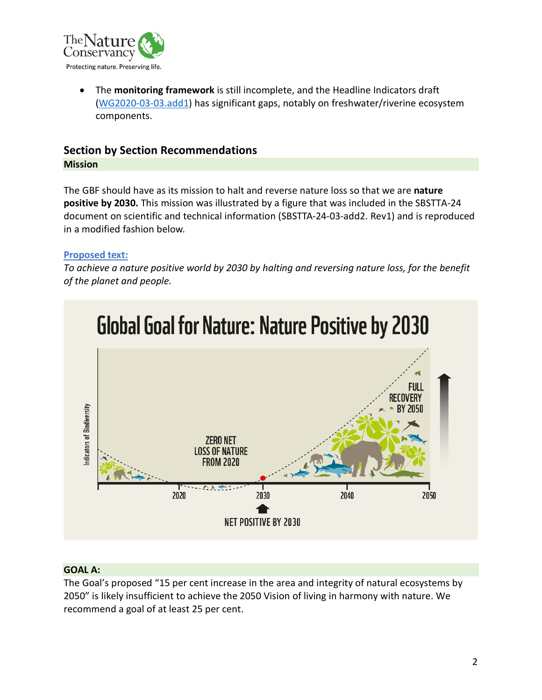

• The **monitoring framework** is still incomplete, and the Headline Indicators draft [\(WG2020-03-03.add1\)](https://www.cbd.int/doc/c/914a/eca3/24ad42235033f031badf61b1/wg2020-03-03-en.pdf) has significant gaps, notably on freshwater/riverine ecosystem components.

# **Section by Section Recommendations Mission**

The GBF should have as its mission to halt and reverse nature loss so that we are **nature positive by 2030.** This mission was illustrated by a figure that was included in the SBSTTA-24 document on scientific and technical information (SBSTTA-24-03-add2. Rev1) and is reproduced in a modified fashion below.

### **Proposed text:**

*To achieve a nature positive world by 2030 by halting and reversing nature loss, for the benefit of the planet and people.*



#### **GOAL A:**

The Goal's proposed "15 per cent increase in the area and integrity of natural ecosystems by 2050" is likely insufficient to achieve the 2050 Vision of living in harmony with nature. We recommend a goal of at least 25 per cent.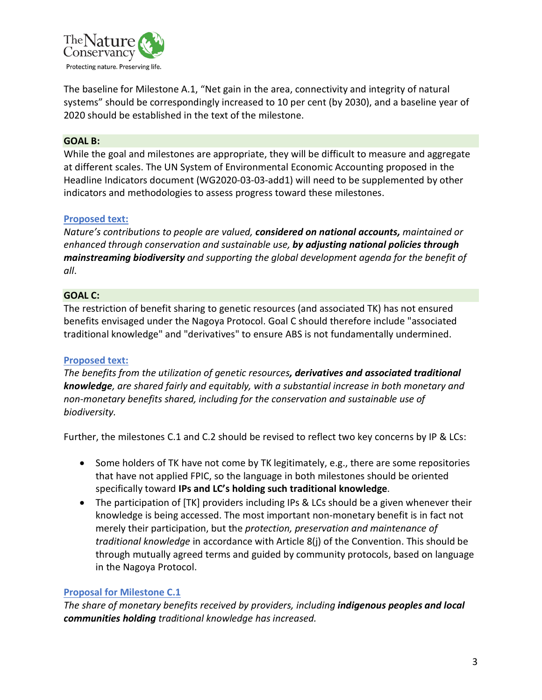

The baseline for Milestone A.1, "Net gain in the area, connectivity and integrity of natural systems" should be correspondingly increased to 10 per cent (by 2030), and a baseline year of 2020 should be established in the text of the milestone.

#### **GOAL B:**

While the goal and milestones are appropriate, they will be difficult to measure and aggregate at different scales. The UN System of Environmental Economic Accounting proposed in the Headline Indicators document (WG2020-03-03-add1) will need to be supplemented by other indicators and methodologies to assess progress toward these milestones.

### **Proposed text:**

*Nature's contributions to people are valued, considered on national accounts, maintained or enhanced through conservation and sustainable use, by adjusting national policies through mainstreaming biodiversity and supporting the global development agenda for the benefit of all*.

#### **GOAL C:**

The restriction of benefit sharing to genetic resources (and associated TK) has not ensured benefits envisaged under the Nagoya Protocol. Goal C should therefore include "associated traditional knowledge" and "derivatives" to ensure ABS is not fundamentally undermined.

#### **Proposed text:**

*The benefits from the utilization of genetic resources, derivatives and associated traditional knowledge, are shared fairly and equitably, with a substantial increase in both monetary and non-monetary benefits shared, including for the conservation and sustainable use of biodiversity.*

Further, the milestones C.1 and C.2 should be revised to reflect two key concerns by IP & LCs:

- Some holders of TK have not come by TK legitimately, e.g., there are some repositories that have not applied FPIC, so the language in both milestones should be oriented specifically toward **IPs and LC's holding such traditional knowledge**.
- The participation of [TK] providers including IPs & LCs should be a given whenever their knowledge is being accessed. The most important non-monetary benefit is in fact not merely their participation, but the *protection, preservation and maintenance of traditional knowledge* in accordance with Article 8(j) of the Convention. This should be through mutually agreed terms and guided by community protocols, based on language in the Nagoya Protocol.

# **Proposal for Milestone C.1**

*The share of monetary benefits received by providers, including indigenous peoples and local communities holding traditional knowledge has increased.*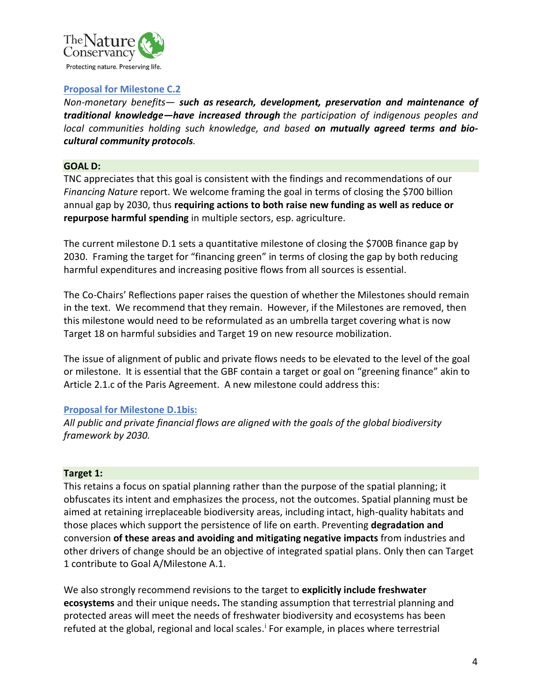

#### **Proposal for Milestone C.2**

*Non-monetary benefits— such as research, development, preservation and maintenance of traditional knowledge—have increased through the participation of indigenous peoples and local communities holding such knowledge, and based on mutually agreed terms and biocultural community protocols.*

#### **GOAL D:**

TNC appreciates that this goal is consistent with the findings and recommendations of our *Financing Nature* report. We welcome framing the goal in terms of closing the \$700 billion annual gap by 2030, thus **requiring actions to both raise new funding as well as reduce or repurpose harmful spending** in multiple sectors, esp. agriculture.

The current milestone D.1 sets a quantitative milestone of closing the \$700B finance gap by 2030. Framing the target for "financing green" in terms of closing the gap by both reducing harmful expenditures and increasing positive flows from all sources is essential.

The Co-Chairs' Reflections paper raises the question of whether the Milestones should remain in the text. We recommend that they remain. However, if the Milestones are removed, then this milestone would need to be reformulated as an umbrella target covering what is now Target 18 on harmful subsidies and Target 19 on new resource mobilization.

The issue of alignment of public and private flows needs to be elevated to the level of the goal or milestone. It is essential that the GBF contain a target or goal on "greening finance" akin to Article 2.1.c of the Paris Agreement. A new milestone could address this:

#### **Proposal for Milestone D.1bis:**

*All public and private financial flows are aligned with the goals of the global biodiversity framework by 2030.* 

#### **Target 1:**

This retains a focus on spatial planning rather than the purpose of the spatial planning; it obfuscates its intent and emphasizes the process, not the outcomes. Spatial planning must be aimed at retaining irreplaceable biodiversity areas, including intact, high-quality habitats and those places which support the persistence of life on earth. Preventing **degradation and** conversion **of these areas and avoiding and mitigating negative impacts** from industries and other drivers of change should be an objective of integrated spatial plans. Only then can Target 1 contribute to Goal A/Milestone A.1.

We also strongly recommend revisions to the target to **explicitly include freshwater ecosystems** and their unique needs**.** The standing assumption that terrestrial planning and protected areas will meet the needs of freshwater biodiversity and ecosystems has been refuted at the global, reg[i](#page-12-0)onal and local scales.<sup>i</sup> For example, in places where terrestrial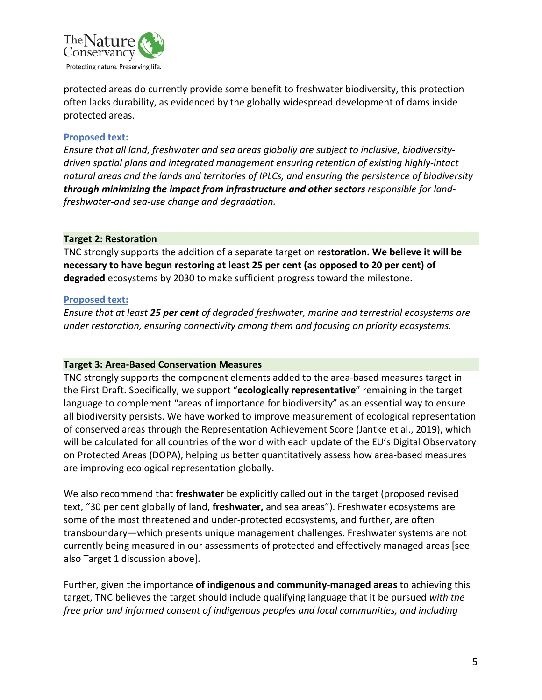

protected areas do currently provide some benefit to freshwater biodiversity, this protection often lacks durability, as evidenced by the globally widespread development of dams inside protected areas.

#### **Proposed text:**

*Ensure that all land, freshwater and sea areas globally are subject to inclusive, biodiversitydriven spatial plans and integrated management ensuring retention of existing highly-intact natural areas and the lands and territories of IPLCs, and ensuring the persistence of biodiversity through minimizing the impact from infrastructure and other sectors responsible for landfreshwater-and sea-use change and degradation.*

#### **Target 2: Restoration**

TNC strongly supports the addition of a separate target on r**estoration. We believe it will be necessary to have begun restoring at least 25 per cent (as opposed to 20 per cent) of degraded** ecosystems by 2030 to make sufficient progress toward the milestone.

#### **Proposed text:**

*Ensure that at least 25 per cent of degraded freshwater, marine and terrestrial ecosystems are under restoration, ensuring connectivity among them and focusing on priority ecosystems.*

#### **Target 3: Area-Based Conservation Measures**

TNC strongly supports the component elements added to the area-based measures target in the First Draft. Specifically, we support "**ecologically representative**" remaining in the target language to complement "areas of importance for biodiversity" as an essential way to ensure all biodiversity persists. We have worked to improve measurement of ecological representation of conserved areas through the Representation Achievement Score (Jantke et al., 2019), which will be calculated for all countries of the world with each update of the EU's Digital Observatory on Protected Areas (DOPA), helping us better quantitatively assess how area-based measures are improving ecological representation globally.

We also recommend that **freshwater** be explicitly called out in the target (proposed revised text, "30 per cent globally of land, **freshwater,** and sea areas"). Freshwater ecosystems are some of the most threatened and under-protected ecosystems, and further, are often transboundary—which presents unique management challenges. Freshwater systems are not currently being measured in our assessments of protected and effectively managed areas [see also Target 1 discussion above].

Further, given the importance **of indigenous and community-managed areas** to achieving this target, TNC believes the target should include qualifying language that it be pursued *with the free prior and informed consent of indigenous peoples and local communities, and including*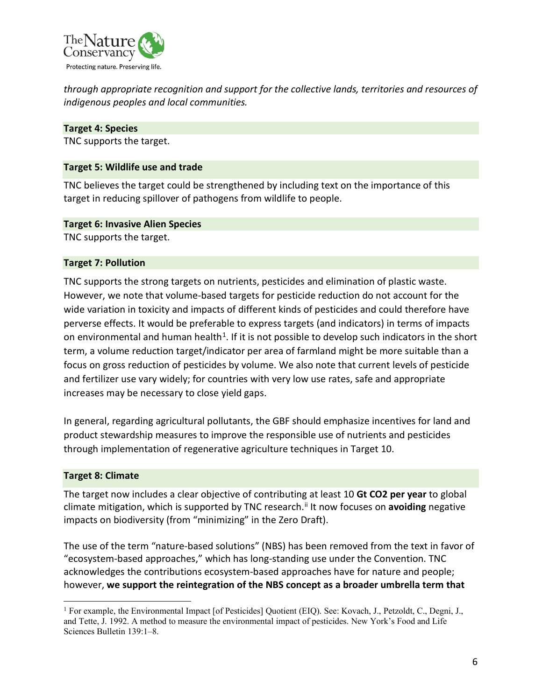

*through appropriate recognition and support for the collective lands, territories and resources of indigenous peoples and local communities.*

#### **Target 4: Species**

TNC supports the target.

### **Target 5: Wildlife use and trade**

TNC believes the target could be strengthened by including text on the importance of this target in reducing spillover of pathogens from wildlife to people.

#### **Target 6: Invasive Alien Species**

TNC supports the target.

#### **Target 7: Pollution**

TNC supports the strong targets on nutrients, pesticides and elimination of plastic waste. However, we note that volume-based targets for pesticide reduction do not account for the wide variation in toxicity and impacts of different kinds of pesticides and could therefore have perverse effects. It would be preferable to express targets (and indicators) in terms of impacts on environmental and human health<sup>[1](#page-5-0)</sup>. If it is not possible to develop such indicators in the short term, a volume reduction target/indicator per area of farmland might be more suitable than a focus on gross reduction of pesticides by volume. We also note that current levels of pesticide and fertilizer use vary widely; for countries with very low use rates, safe and appropriate increases may be necessary to close yield gaps.

In general, regarding agricultural pollutants, the GBF should emphasize incentives for land and product stewardship measures to improve the responsible use of nutrients and pesticides through implementation of regenerative agriculture techniques in Target 10.

#### **Target 8: Climate**

The target now includes a clear objective of contributing at least 10 **Gt CO2 per year** to global climate mitigation, which is supported by TNC research. [ii](#page-12-1) It now focuses on **avoiding** negative impacts on biodiversity (from "minimizing" in the Zero Draft).

The use of the term "nature-based solutions" (NBS) has been removed from the text in favor of "ecosystem-based approaches," which has long-standing use under the Convention. TNC acknowledges the contributions ecosystem-based approaches have for nature and people; however, **we support the reintegration of the NBS concept as a broader umbrella term that**

<span id="page-5-0"></span><sup>1</sup> For example, the Environmental Impact [of Pesticides] Quotient (EIQ). See: Kovach, J., Petzoldt, C., Degni, J., and Tette, J. 1992. A method to measure the environmental impact of pesticides. New York's Food and Life Sciences Bulletin 139:1–8.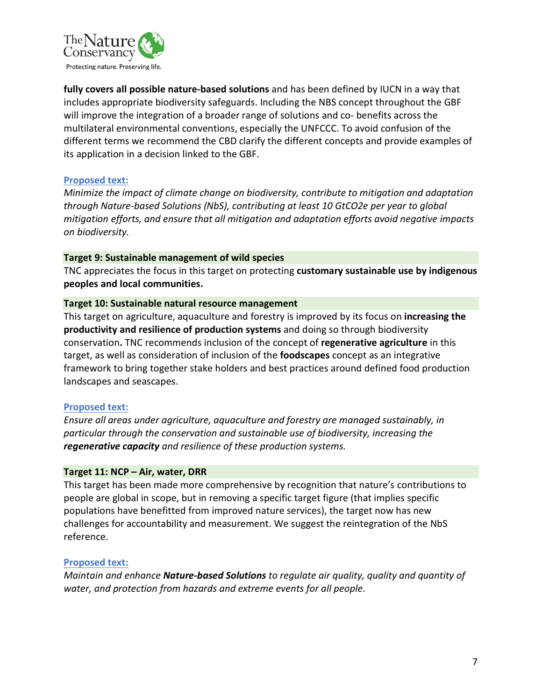

**fully covers all possible nature-based solutions** and has been defined by IUCN in a way that includes appropriate biodiversity safeguards. Including the NBS concept throughout the GBF will improve the integration of a broader range of solutions and co- benefits across the multilateral environmental conventions, especially the UNFCCC. To avoid confusion of the different terms we recommend the CBD clarify the different concepts and provide examples of its application in a decision linked to the GBF.

#### **Proposed text:**

*Minimize the impact of climate change on biodiversity, contribute to mitigation and adaptation through Nature-based Solutions (NbS), contributing at least 10 GtCO2e per year to global mitigation efforts, and ensure that all mitigation and adaptation efforts avoid negative impacts on biodiversity.*

#### **Target 9: Sustainable management of wild species**

TNC appreciates the focus in this target on protecting **customary sustainable use by indigenous peoples and local communities.**

#### **Target 10: Sustainable natural resource management**

This target on agriculture, aquaculture and forestry is improved by its focus on **increasing the productivity and resilience of production systems** and doing so through biodiversity conservation**.** TNC recommends inclusion of the concept of **regenerative agriculture** in this target, as well as consideration of inclusion of the **foodscapes** concept as an integrative framework to bring together stake holders and best practices around defined food production landscapes and seascapes.

#### **Proposed text:**

*Ensure all areas under agriculture, aquaculture and forestry are managed sustainably, in particular through the conservation and sustainable use of biodiversity, increasing the regenerative capacity and resilience of these production systems.*

#### **Target 11: NCP – Air, water, DRR**

This target has been made more comprehensive by recognition that nature's contributions to people are global in scope, but in removing a specific target figure (that implies specific populations have benefitted from improved nature services), the target now has new challenges for accountability and measurement. We suggest the reintegration of the NbS reference.

#### **Proposed text:**

*Maintain and enhance Nature-based Solutions to regulate air quality, quality and quantity of water, and protection from hazards and extreme events for all people.*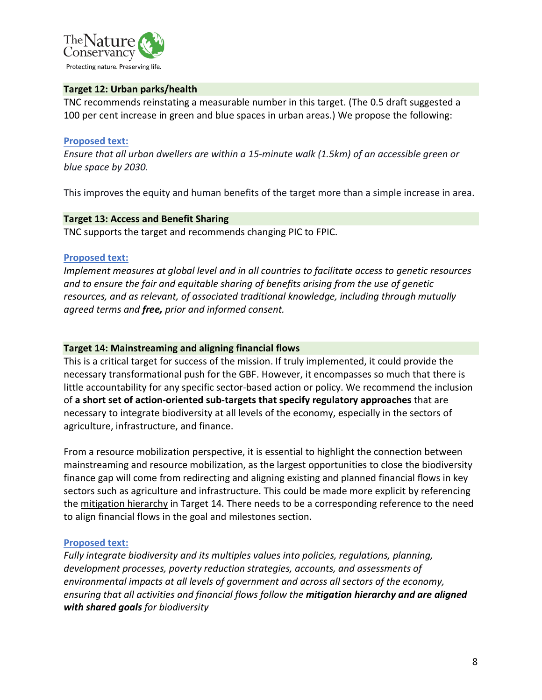

#### **Target 12: Urban parks/health**

TNC recommends reinstating a measurable number in this target. (The 0.5 draft suggested a 100 per cent increase in green and blue spaces in urban areas.) We propose the following:

#### **Proposed text:**

*Ensure that all urban dwellers are within a 15-minute walk (1.5km) of an accessible green or blue space by 2030.*

This improves the equity and human benefits of the target more than a simple increase in area.

#### **Target 13: Access and Benefit Sharing**

TNC supports the target and recommends changing PIC to FPIC.

#### **Proposed text:**

*Implement measures at global level and in all countries to facilitate access to genetic resources and to ensure the fair and equitable sharing of benefits arising from the use of genetic resources, and as relevant, of associated traditional knowledge, including through mutually agreed terms and free, prior and informed consent.*

#### **Target 14: Mainstreaming and aligning financial flows**

This is a critical target for success of the mission. If truly implemented, it could provide the necessary transformational push for the GBF. However, it encompasses so much that there is little accountability for any specific sector-based action or policy. We recommend the inclusion of **a short set of action-oriented sub-targets that specify regulatory approaches** that are necessary to integrate biodiversity at all levels of the economy, especially in the sectors of agriculture, infrastructure, and finance.

From a resource mobilization perspective, it is essential to highlight the connection between mainstreaming and resource mobilization, as the largest opportunities to close the biodiversity finance gap will come from redirecting and aligning existing and planned financial flows in key sectors such as agriculture and infrastructure. This could be made more explicit by referencing the mitigation hierarchy in Target 14. There needs to be a corresponding reference to the need to align financial flows in the goal and milestones section.

#### **Proposed text:**

*Fully integrate biodiversity and its multiples values into policies, regulations, planning, development processes, poverty reduction strategies, accounts, and assessments of environmental impacts at all levels of government and across all sectors of the economy, ensuring that all activities and financial flows follow the mitigation hierarchy and are aligned with shared goals for biodiversity*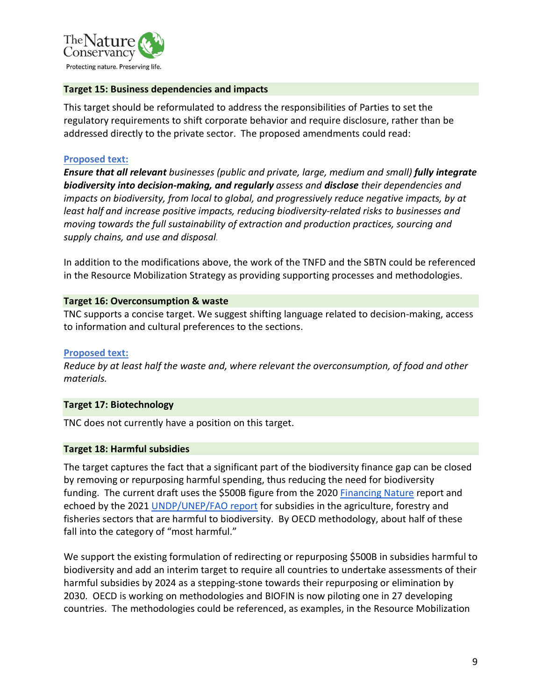

#### **Target 15: Business dependencies and impacts**

This target should be reformulated to address the responsibilities of Parties to set the regulatory requirements to shift corporate behavior and require disclosure, rather than be addressed directly to the private sector. The proposed amendments could read:

#### **Proposed text:**

*Ensure that all relevant businesses (public and private, large, medium and small) fully integrate biodiversity into decision-making, and regularly assess and disclose their dependencies and impacts on biodiversity, from local to global, and progressively reduce negative impacts, by at least half and increase positive impacts, reducing biodiversity-related risks to businesses and moving towards the full sustainability of extraction and production practices, sourcing and supply chains, and use and disposal.* 

In addition to the modifications above, the work of the TNFD and the SBTN could be referenced in the Resource Mobilization Strategy as providing supporting processes and methodologies.

#### **Target 16: Overconsumption & waste**

TNC supports a concise target. We suggest shifting language related to decision-making, access to information and cultural preferences to the sections.

#### **Proposed text:**

*Reduce by at least half the waste and, where relevant the overconsumption, of food and other materials.*

#### **Target 17: Biotechnology**

TNC does not currently have a position on this target.

#### **Target 18: Harmful subsidies**

The target captures the fact that a significant part of the biodiversity finance gap can be closed by removing or repurposing harmful spending, thus reducing the need for biodiversity funding. The current draft uses the \$500B figure from the 2020 [Financing Nature](https://www.nature.org/en-us/what-we-do/our-insights/reports/financing-nature-biodiversity-report/) report and echoed by the 2021 [UNDP/UNEP/FAO report](https://www.unep.org/news-and-stories/press-release/un-report-calls-repurposing-usd-470-billion-agricultural-support) for subsidies in the agriculture, forestry and fisheries sectors that are harmful to biodiversity. By OECD methodology, about half of these fall into the category of "most harmful."

We support the existing formulation of redirecting or repurposing \$500B in subsidies harmful to biodiversity and add an interim target to require all countries to undertake assessments of their harmful subsidies by 2024 as a stepping-stone towards their repurposing or elimination by 2030. OECD is working on methodologies and BIOFIN is now piloting one in 27 developing countries. The methodologies could be referenced, as examples, in the Resource Mobilization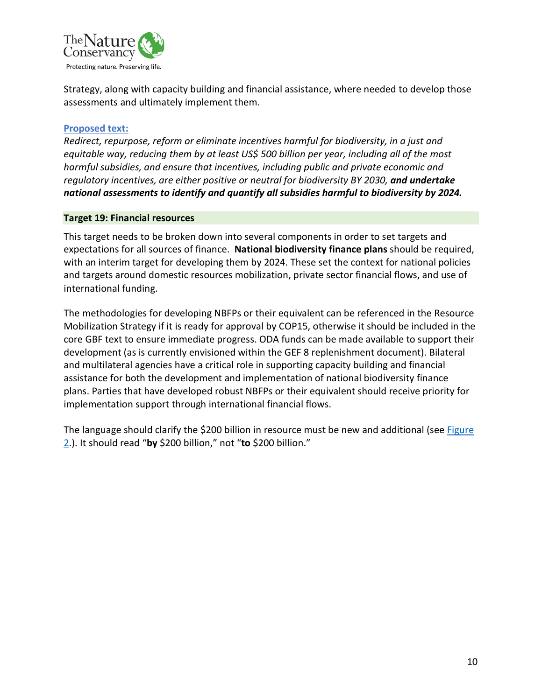

Strategy, along with capacity building and financial assistance, where needed to develop those assessments and ultimately implement them.

#### **Proposed text:**

*Redirect, repurpose, reform or eliminate incentives harmful for biodiversity, in a just and equitable way, reducing them by at least US\$ 500 billion per year, including all of the most harmful subsidies, and ensure that incentives, including public and private economic and regulatory incentives, are either positive or neutral for biodiversity BY 2030, and undertake national assessments to identify and quantify all subsidies harmful to biodiversity by 2024.*

#### **Target 19: Financial resources**

This target needs to be broken down into several components in order to set targets and expectations for all sources of finance. **National biodiversity finance plans** should be required, with an interim target for developing them by 2024. These set the context for national policies and targets around domestic resources mobilization, private sector financial flows, and use of international funding.

The methodologies for developing NBFPs or their equivalent can be referenced in the Resource Mobilization Strategy if it is ready for approval by COP15, otherwise it should be included in the core GBF text to ensure immediate progress. ODA funds can be made available to support their development (as is currently envisioned within the GEF 8 replenishment document). Bilateral and multilateral agencies have a critical role in supporting capacity building and financial assistance for both the development and implementation of national biodiversity finance plans. Parties that have developed robust NBFPs or their equivalent should receive priority for implementation support through international financial flows.

The language should clarify the \$200 billion in resource must be new and additional (see Figure [2.](#page-10-0)). It should read "**by** \$200 billion," not "**to** \$200 billion."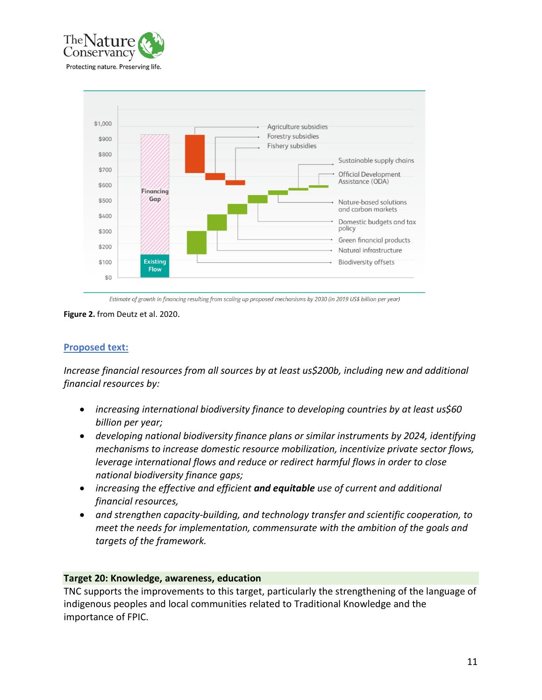



Estimate of growth in financing resulting from scaling up proposed mechanisms by 2030 (in 2019 US\$ billion per year)

<span id="page-10-0"></span>**Figure 2.** from Deutz et al. 2020.

#### **Proposed text:**

*Increase financial resources from all sources by at least us\$200b, including new and additional financial resources by:* 

- *increasing international biodiversity finance to developing countries by at least us\$60 billion per year;*
- *developing national biodiversity finance plans or similar instruments by 2024, identifying mechanisms to increase domestic resource mobilization, incentivize private sector flows, leverage international flows and reduce or redirect harmful flows in order to close national biodiversity finance gaps;*
- *increasing the effective and efficient and equitable use of current and additional financial resources,*
- *and strengthen capacity-building, and technology transfer and scientific cooperation, to meet the needs for implementation, commensurate with the ambition of the goals and targets of the framework.*

#### **Target 20: Knowledge, awareness, education**

TNC supports the improvements to this target, particularly the strengthening of the language of indigenous peoples and local communities related to Traditional Knowledge and the importance of FPIC.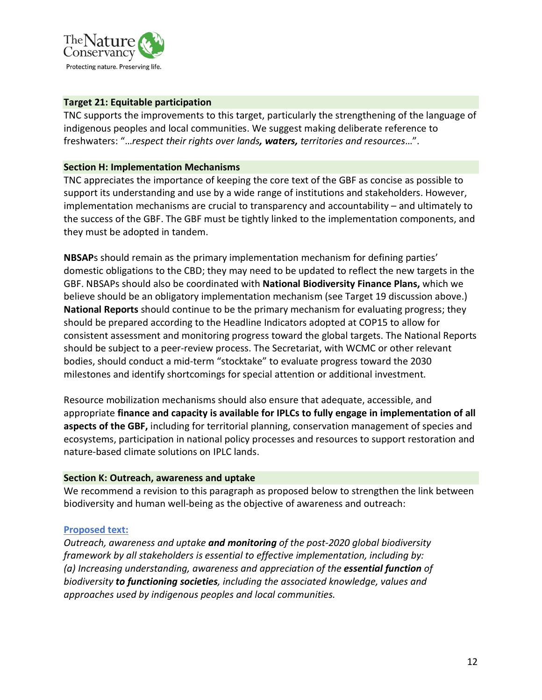

#### **Target 21: Equitable participation**

TNC supports the improvements to this target, particularly the strengthening of the language of indigenous peoples and local communities. We suggest making deliberate reference to freshwaters: "…*respect their rights over lands, waters, territories and resources*…".

#### **Section H: Implementation Mechanisms**

TNC appreciates the importance of keeping the core text of the GBF as concise as possible to support its understanding and use by a wide range of institutions and stakeholders. However, implementation mechanisms are crucial to transparency and accountability – and ultimately to the success of the GBF. The GBF must be tightly linked to the implementation components, and they must be adopted in tandem.

**NBSAP**s should remain as the primary implementation mechanism for defining parties' domestic obligations to the CBD; they may need to be updated to reflect the new targets in the GBF. NBSAPs should also be coordinated with **National Biodiversity Finance Plans,** which we believe should be an obligatory implementation mechanism (see Target 19 discussion above.) **National Reports** should continue to be the primary mechanism for evaluating progress; they should be prepared according to the Headline Indicators adopted at COP15 to allow for consistent assessment and monitoring progress toward the global targets. The National Reports should be subject to a peer-review process. The Secretariat, with WCMC or other relevant bodies, should conduct a mid-term "stocktake" to evaluate progress toward the 2030 milestones and identify shortcomings for special attention or additional investment.

Resource mobilization mechanisms should also ensure that adequate, accessible, and appropriate **finance and capacity is available for IPLCs to fully engage in implementation of all aspects of the GBF,** including for territorial planning, conservation management of species and ecosystems, participation in national policy processes and resources to support restoration and nature-based climate solutions on IPLC lands.

#### **Section K: Outreach, awareness and uptake**

We recommend a revision to this paragraph as proposed below to strengthen the link between biodiversity and human well-being as the objective of awareness and outreach:

#### **Proposed text:**

*Outreach, awareness and uptake and monitoring of the post-2020 global biodiversity framework by all stakeholders is essential to effective implementation, including by: (a) Increasing understanding, awareness and appreciation of the essential function of biodiversity to functioning societies, including the associated knowledge, values and approaches used by indigenous peoples and local communities.*